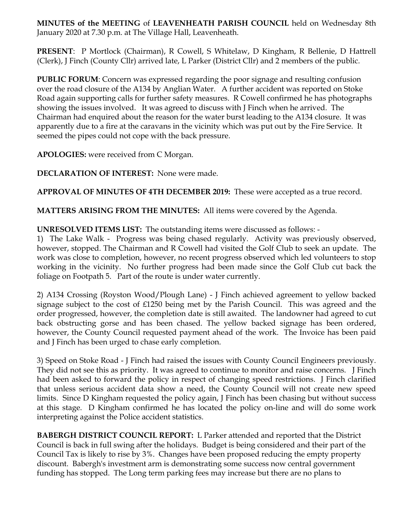**MINUTES of the MEETING** of **LEAVENHEATH PARISH COUNCIL** held on Wednesday 8th January 2020 at 7.30 p.m. at The Village Hall, Leavenheath.

**PRESENT**: P Mortlock (Chairman), R Cowell, S Whitelaw, D Kingham, R Bellenie, D Hattrell (Clerk), J Finch (County Cllr) arrived late, L Parker (District Cllr) and 2 members of the public.

**PUBLIC FORUM**: Concern was expressed regarding the poor signage and resulting confusion over the road closure of the A134 by Anglian Water. A further accident was reported on Stoke Road again supporting calls for further safety measures. R Cowell confirmed he has photographs showing the issues involved. It was agreed to discuss with J Finch when he arrived. The Chairman had enquired about the reason for the water burst leading to the A134 closure. It was apparently due to a fire at the caravans in the vicinity which was put out by the Fire Service. It seemed the pipes could not cope with the back pressure.

**APOLOGIES:** were received from C Morgan.

**DECLARATION OF INTEREST:** None were made.

**APPROVAL OF MINUTES OF 4TH DECEMBER 2019:** These were accepted as a true record.

**MATTERS ARISING FROM THE MINUTES:** All items were covered by the Agenda.

**UNRESOLVED ITEMS LIST:** The outstanding items were discussed as follows: -

1) The Lake Walk - Progress was being chased regularly. Activity was previously observed, however, stopped. The Chairman and R Cowell had visited the Golf Club to seek an update. The work was close to completion, however, no recent progress observed which led volunteers to stop working in the vicinity. No further progress had been made since the Golf Club cut back the foliage on Footpath 5. Part of the route is under water currently.

2) A134 Crossing (Royston Wood/Plough Lane) - J Finch achieved agreement to yellow backed signage subject to the cost of £1250 being met by the Parish Council. This was agreed and the order progressed, however, the completion date is still awaited. The landowner had agreed to cut back obstructing gorse and has been chased. The yellow backed signage has been ordered, however, the County Council requested payment ahead of the work. The Invoice has been paid and J Finch has been urged to chase early completion.

3) Speed on Stoke Road - J Finch had raised the issues with County Council Engineers previously. They did not see this as priority. It was agreed to continue to monitor and raise concerns. J Finch had been asked to forward the policy in respect of changing speed restrictions. J Finch clarified that unless serious accident data show a need, the County Council will not create new speed limits. Since D Kingham requested the policy again, J Finch has been chasing but without success at this stage. D Kingham confirmed he has located the policy on-line and will do some work interpreting against the Police accident statistics.

**BABERGH DISTRICT COUNCIL REPORT:** L Parker attended and reported that the District Council is back in full swing after the holidays. Budget is being considered and their part of the Council Tax is likely to rise by 3%. Changes have been proposed reducing the empty property discount. Babergh's investment arm is demonstrating some success now central government funding has stopped. The Long term parking fees may increase but there are no plans to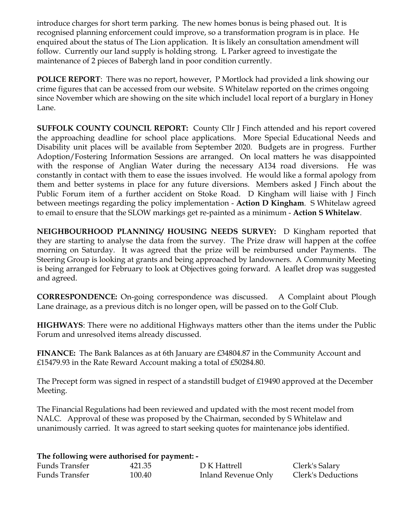introduce charges for short term parking. The new homes bonus is being phased out. It is recognised planning enforcement could improve, so a transformation program is in place. He enquired about the status of The Lion application. It is likely an consultation amendment will follow. Currently our land supply is holding strong. L Parker agreed to investigate the maintenance of 2 pieces of Babergh land in poor condition currently.

**POLICE REPORT**: There was no report, however, P Mortlock had provided a link showing our crime figures that can be accessed from our website. S Whitelaw reported on the crimes ongoing since November which are showing on the site which include1 local report of a burglary in Honey Lane.

**SUFFOLK COUNTY COUNCIL REPORT:** County Cllr J Finch attended and his report covered the approaching deadline for school place applications. More Special Educational Needs and Disability unit places will be available from September 2020. Budgets are in progress. Further Adoption/Fostering Information Sessions are arranged. On local matters he was disappointed with the response of Anglian Water during the necessary A134 road diversions. He was constantly in contact with them to ease the issues involved. He would like a formal apology from them and better systems in place for any future diversions. Members asked J Finch about the Public Forum item of a further accident on Stoke Road. D Kingham will liaise with J Finch between meetings regarding the policy implementation - **Action D Kingham**. S Whitelaw agreed to email to ensure that the SLOW markings get re-painted as a minimum - **Action S Whitelaw**.

**NEIGHBOURHOOD PLANNING/ HOUSING NEEDS SURVEY:** D Kingham reported that they are starting to analyse the data from the survey. The Prize draw will happen at the coffee morning on Saturday. It was agreed that the prize will be reimbursed under Payments. The Steering Group is looking at grants and being approached by landowners. A Community Meeting is being arranged for February to look at Objectives going forward. A leaflet drop was suggested and agreed.

**CORRESPONDENCE:** On-going correspondence was discussed. A Complaint about Plough Lane drainage, as a previous ditch is no longer open, will be passed on to the Golf Club.

**HIGHWAYS**: There were no additional Highways matters other than the items under the Public Forum and unresolved items already discussed.

**FINANCE:** The Bank Balances as at 6th January are £34804.87 in the Community Account and £15479.93 in the Rate Reward Account making a total of £50284.80.

The Precept form was signed in respect of a standstill budget of £19490 approved at the December Meeting.

The Financial Regulations had been reviewed and updated with the most recent model from NALC. Approval of these was proposed by the Chairman, seconded by S Whitelaw and unanimously carried. It was agreed to start seeking quotes for maintenance jobs identified.

## **The following were authorised for payment: -**

| Funds Transfer | 421.35 | D K Hattrell        | Clerk's Salary     |
|----------------|--------|---------------------|--------------------|
| Funds Transfer | 100.40 | Inland Revenue Only | Clerk's Deductions |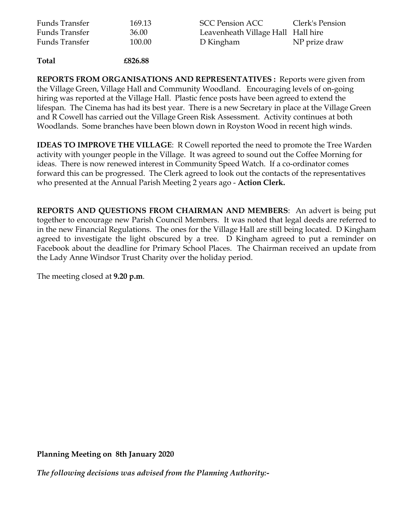| Funds Transfer | 169.13 | SCC Pension ACC                    | Clerk's Pension |
|----------------|--------|------------------------------------|-----------------|
| Funds Transfer | 36.00  | Leavenheath Village Hall Hall hire |                 |
| Funds Transfer | 100.00 | D Kingham                          | NP prize draw   |

**Total £826.88**

**REPORTS FROM ORGANISATIONS AND REPRESENTATIVES :** Reports were given from the Village Green, Village Hall and Community Woodland. Encouraging levels of on-going hiring was reported at the Village Hall. Plastic fence posts have been agreed to extend the lifespan. The Cinema has had its best year. There is a new Secretary in place at the Village Green and R Cowell has carried out the Village Green Risk Assessment. Activity continues at both Woodlands. Some branches have been blown down in Royston Wood in recent high winds.

**IDEAS TO IMPROVE THE VILLAGE**: R Cowell reported the need to promote the Tree Warden activity with younger people in the Village. It was agreed to sound out the Coffee Morning for ideas. There is now renewed interest in Community Speed Watch. If a co-ordinator comes forward this can be progressed. The Clerk agreed to look out the contacts of the representatives who presented at the Annual Parish Meeting 2 years ago - **Action Clerk.** 

**REPORTS AND QUESTIONS FROM CHAIRMAN AND MEMBERS**: An advert is being put together to encourage new Parish Council Members. It was noted that legal deeds are referred to in the new Financial Regulations. The ones for the Village Hall are still being located. D Kingham agreed to investigate the light obscured by a tree. D Kingham agreed to put a reminder on Facebook about the deadline for Primary School Places. The Chairman received an update from the Lady Anne Windsor Trust Charity over the holiday period.

The meeting closed at **9.20 p.m**.

**Planning Meeting on 8th January 2020**

*The following decisions was advised from the Planning Authority:-*